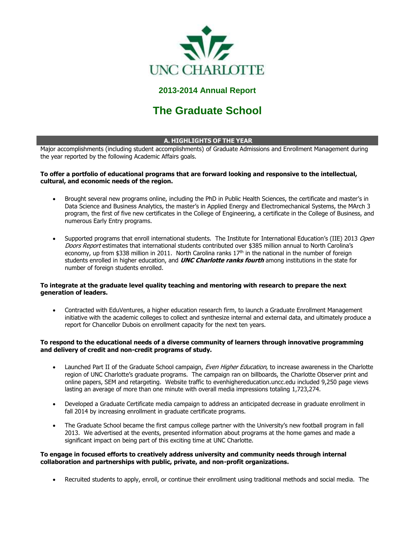

# **2013-2014 Annual Report**

# **The Graduate School**

#### **A. HIGHLIGHTS OF THE YEAR**

Major accomplishments (including student accomplishments) of Graduate Admissions and Enrollment Management during the year reported by the following Academic Affairs goals.

#### **To offer a portfolio of educational programs that are forward looking and responsive to the intellectual, cultural, and economic needs of the region.**

- Brought several new programs online, including the PhD in Public Health Sciences, the certificate and master's in Data Science and Business Analytics, the master's in Applied Energy and Electromechanical Systems, the MArch 3 program, the first of five new certificates in the College of Engineering, a certificate in the College of Business, and numerous Early Entry programs.
- Supported programs that enroll international students. The Institute for International Education's (IIE) 2013 Open Doors Report estimates that international students contributed over \$385 million annual to North Carolina's economy, up from \$338 million in 2011. North Carolina ranks 17<sup>th</sup> in the national in the number of foreign students enrolled in higher education, and **UNC Charlotte ranks fourth** among institutions in the state for number of foreign students enrolled.

#### **To integrate at the graduate level quality teaching and mentoring with research to prepare the next generation of leaders.**

 Contracted with EduVentures, a higher education research firm, to launch a Graduate Enrollment Management initiative with the academic colleges to collect and synthesize internal and external data, and ultimately produce a report for Chancellor Dubois on enrollment capacity for the next ten years.

#### **To respond to the educational needs of a diverse community of learners through innovative programming and delivery of credit and non-credit programs of study.**

- Launched Part II of the Graduate School campaign, Even Higher Education, to increase awareness in the Charlotte region of UNC Charlotte's graduate programs. The campaign ran on billboards, the Charlotte Observer print and online papers, SEM and retargeting. Website traffic to evenhighereducation.uncc.edu included 9,250 page views lasting an average of more than one minute with overall media impressions totaling 1,723,274.
- Developed a Graduate Certificate media campaign to address an anticipated decrease in graduate enrollment in fall 2014 by increasing enrollment in graduate certificate programs.
- The Graduate School became the first campus college partner with the University's new football program in fall 2013. We advertised at the events, presented information about programs at the home games and made a significant impact on being part of this exciting time at UNC Charlotte.

#### **To engage in focused efforts to creatively address university and community needs through internal collaboration and partnerships with public, private, and non-profit organizations.**

Recruited students to apply, enroll, or continue their enrollment using traditional methods and social media. The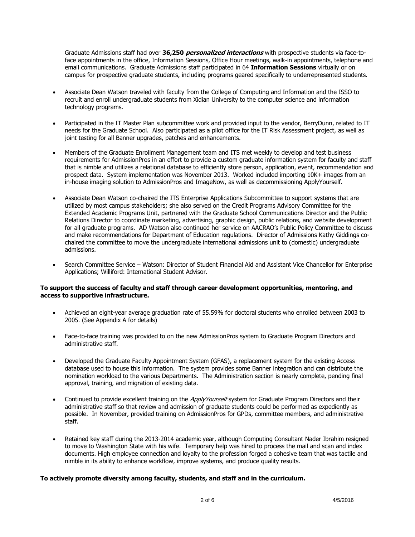Graduate Admissions staff had over **36,250 personalized interactions** with prospective students via face-toface appointments in the office, Information Sessions, Office Hour meetings, walk-in appointments, telephone and email communications. Graduate Admissions staff participated in 64 **Information Sessions** virtually or on campus for prospective graduate students, including programs geared specifically to underrepresented students.

- Associate Dean Watson traveled with faculty from the College of Computing and Information and the ISSO to recruit and enroll undergraduate students from Xidian University to the computer science and information technology programs.
- Participated in the IT Master Plan subcommittee work and provided input to the vendor, BerryDunn, related to IT needs for the Graduate School. Also participated as a pilot office for the IT Risk Assessment project, as well as joint testing for all Banner upgrades, patches and enhancements.
- Members of the Graduate Enrollment Management team and ITS met weekly to develop and test business requirements for AdmissionPros in an effort to provide a custom graduate information system for faculty and staff that is nimble and utilizes a relational database to efficiently store person, application, event, recommendation and prospect data. System implementation was November 2013. Worked included importing 10K+ images from an in-house imaging solution to AdmissionPros and ImageNow, as well as decommissioning ApplyYourself.
- Associate Dean Watson co-chaired the ITS Enterprise Applications Subcommittee to support systems that are utilized by most campus stakeholders; she also served on the Credit Programs Advisory Committee for the Extended Academic Programs Unit, partnered with the Graduate School Communications Director and the Public Relations Director to coordinate marketing, advertising, graphic design, public relations, and website development for all graduate programs. AD Watson also continued her service on AACRAO's Public Policy Committee to discuss and make recommendations for Department of Education regulations. Director of Admissions Kathy Giddings cochaired the committee to move the undergraduate international admissions unit to (domestic) undergraduate admissions.
- Search Committee Service Watson: Director of Student Financial Aid and Assistant Vice Chancellor for Enterprise Applications; Williford: International Student Advisor.

#### **To support the success of faculty and staff through career development opportunities, mentoring, and access to supportive infrastructure.**

- Achieved an eight-year average graduation rate of 55.59% for doctoral students who enrolled between 2003 to 2005. (See Appendix A for details)
- Face-to-face training was provided to on the new AdmissionPros system to Graduate Program Directors and administrative staff.
- Developed the Graduate Faculty Appointment System (GFAS), a replacement system for the existing Access database used to house this information. The system provides some Banner integration and can distribute the nomination workload to the various Departments. The Administration section is nearly complete, pending final approval, training, and migration of existing data.
- Continued to provide excellent training on the *ApplyYourself* system for Graduate Program Directors and their administrative staff so that review and admission of graduate students could be performed as expediently as possible. In November, provided training on AdmissionPros for GPDs, committee members, and administrative staff.
- Retained key staff during the 2013-2014 academic year, although Computing Consultant Nader Ibrahim resigned to move to Washington State with his wife. Temporary help was hired to process the mail and scan and index documents. High employee connection and loyalty to the profession forged a cohesive team that was tactile and nimble in its ability to enhance workflow, improve systems, and produce quality results.

#### **To actively promote diversity among faculty, students, and staff and in the curriculum.**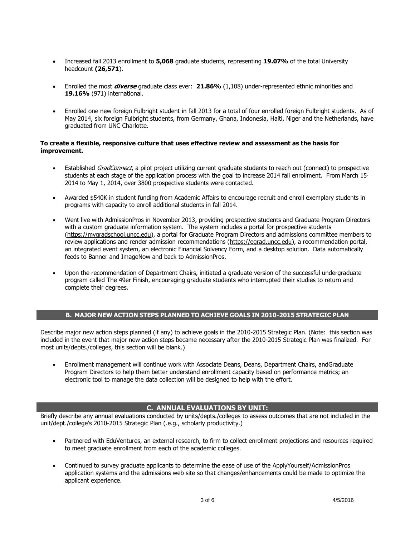- Increased fall 2013 enrollment to **5,068** graduate students, representing **19.07%** of the total University headcount **(26,571**).
- Enrolled the most **diverse** graduate class ever: **21.86%** (1,108) under-represented ethnic minorities and **19.16%** (971) international.
- Enrolled one new foreign Fulbright student in fall 2013 for a total of four enrolled foreign Fulbright students. As of May 2014, six foreign Fulbright students, from Germany, Ghana, Indonesia, Haiti, Niger and the Netherlands, have graduated from UNC Charlotte.

#### **To create a flexible, responsive culture that uses effective review and assessment as the basis for improvement.**

- **Established GradConnect, a pilot project utilizing current graduate students to reach out (connect) to prospective** students at each stage of the application process with the goal to increase 2014 fall enrollment. From March  $15<sub>′</sub>$ 2014 to May 1, 2014, over 3800 prospective students were contacted.
- Awarded \$540K in student funding from Academic Affairs to encourage recruit and enroll exemplary students in programs with capacity to enroll additional students in fall 2014.
- Went live with AdmissionPros in November 2013, providing prospective students and Graduate Program Directors with a custom graduate information system. The system includes a portal for prospective students [\(https://mygradschool.uncc.edu\)](https://mygradschool.uncc.edu/), a portal for Graduate Program Directors and admissions committee members to review applications and render admission recommendations [\(https://egrad.uncc.edu\)](https://egrad.uncc.edu/), a recommendation portal, an integrated event system, an electronic Financial Solvency Form, and a desktop solution. Data automatically feeds to Banner and ImageNow and back to AdmissionPros.
- Upon the recommendation of Department Chairs, initiated a graduate version of the successful undergraduate program called The 49er Finish, encouraging graduate students who interrupted their studies to return and complete their degrees.

#### **B. MAJOR NEW ACTION STEPS PLANNED TO ACHIEVE GOALS IN 2010-2015 STRATEGIC PLAN**

Describe major new action steps planned (if any) to achieve goals in the 2010-2015 Strategic Plan. (Note: this section was included in the event that major new action steps became necessary after the 2010-2015 Strategic Plan was finalized. For most units/depts./colleges, this section will be blank.)

 Enrollment management will continue work with Associate Deans, Deans, Department Chairs, andGraduate Program Directors to help them better understand enrollment capacity based on performance metrics; an electronic tool to manage the data collection will be designed to help with the effort.

#### **C. ANNUAL EVALUATIONS BY UNIT:**

Briefly describe any annual evaluations conducted by units/depts./colleges to assess outcomes that are not included in the unit/dept./college's 2010-2015 Strategic Plan (.e.g., scholarly productivity.)

- Partnered with EduVentures, an external research, to firm to collect enrollment projections and resources required to meet graduate enrollment from each of the academic colleges.
- Continued to survey graduate applicants to determine the ease of use of the ApplyYourself/AdmissionPros application systems and the admissions web site so that changes/enhancements could be made to optimize the applicant experience.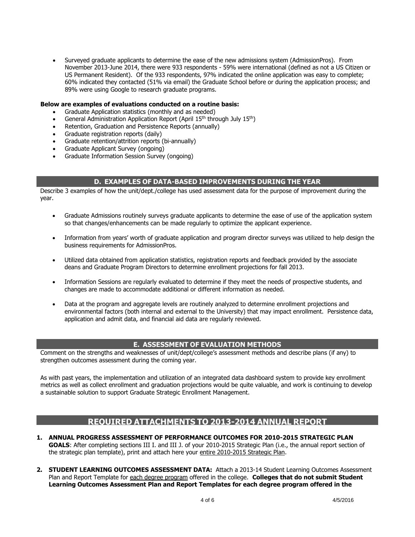Surveyed graduate applicants to determine the ease of the new admissions system (AdmissionPros). From November 2013-June 2014, there were 933 respondents - 59% were international (defined as not a US Citizen or US Permanent Resident). Of the 933 respondents, 97% indicated the online application was easy to complete; 60% indicated they contacted (51% via email) the Graduate School before or during the application process; and 89% were using Google to research graduate programs.

#### **Below are examples of evaluations conducted on a routine basis:**

- Graduate Application statistics (monthly and as needed)
- General Administration Application Report (April 15<sup>th</sup> through July 15<sup>th</sup>)
- Retention, Graduation and Persistence Reports (annually)
- Graduate registration reports (daily)
- Graduate retention/attrition reports (bi-annually)
- Graduate Applicant Survey (ongoing)
- Graduate Information Session Survey (ongoing)

## **D. EXAMPLES OF DATA-BASED IMPROVEMENTS DURING THE YEAR**

Describe 3 examples of how the unit/dept./college has used assessment data for the purpose of improvement during the year.

- Graduate Admissions routinely surveys graduate applicants to determine the ease of use of the application system so that changes/enhancements can be made regularly to optimize the applicant experience.
- Information from years' worth of graduate application and program director surveys was utilized to help design the business requirements for AdmissionPros.
- Utilized data obtained from application statistics, registration reports and feedback provided by the associate deans and Graduate Program Directors to determine enrollment projections for fall 2013.
- Information Sessions are regularly evaluated to determine if they meet the needs of prospective students, and changes are made to accommodate additional or different information as needed.
- Data at the program and aggregate levels are routinely analyzed to determine enrollment projections and environmental factors (both internal and external to the University) that may impact enrollment. Persistence data, application and admit data, and financial aid data are regularly reviewed.

### **E. ASSESSMENT OF EVALUATION METHODS**

Comment on the strengths and weaknesses of unit/dept/college's assessment methods and describe plans (if any) to strengthen outcomes assessment during the coming year.

As with past years, the implementation and utilization of an integrated data dashboard system to provide key enrollment metrics as well as collect enrollment and graduation projections would be quite valuable, and work is continuing to develop a sustainable solution to support Graduate Strategic Enrollment Management.

## **REQUIRED ATTACHMENTS TO 2013-2014 ANNUAL REPORT**

- **1. ANNUAL PROGRESS ASSESSMENT OF PERFORMANCE OUTCOMES FOR 2010-2015 STRATEGIC PLAN GOALS**: After completing sections III I. and III J. of your 2010-2015 Strategic Plan (i.e., the annual report section of the strategic plan template), print and attach here your entire 2010-2015 Strategic Plan.
- **2. STUDENT LEARNING OUTCOMES ASSESSMENT DATA:** Attach a 2013-14 Student Learning Outcomes Assessment Plan and Report Template for each degree program offered in the college. Colleges that do not submit Student **Learning Outcomes Assessment Plan and Report Templates for each degree program offered in the**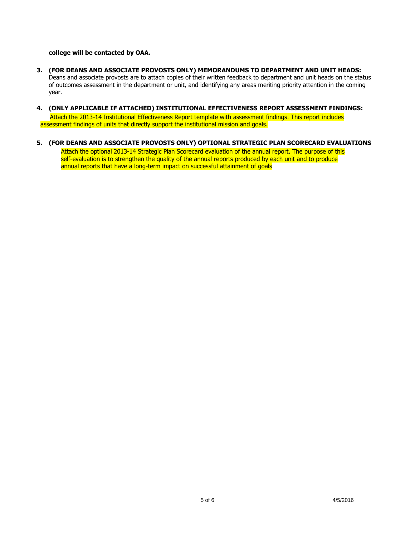#### **college will be contacted by OAA.**

- **3. (FOR DEANS AND ASSOCIATE PROVOSTS ONLY) MEMORANDUMS TO DEPARTMENT AND UNIT HEADS:**  Deans and associate provosts are to attach copies of their written feedback to department and unit heads on the status of outcomes assessment in the department or unit, and identifying any areas meriting priority attention in the coming year.
- **4. (ONLY APPLICABLE IF ATTACHED) INSTITUTIONAL EFFECTIVENESS REPORT ASSESSMENT FINDINGS:**

 Attach the 2013-14 Institutional Effectiveness Report template with assessment findings. This report includes assessment findings of units that directly support the institutional mission and goals.

**5. (FOR DEANS AND ASSOCIATE PROVOSTS ONLY) OPTIONAL STRATEGIC PLAN SCORECARD EVALUATIONS**

Attach the optional 2013-14 Strategic Plan Scorecard evaluation of the annual report. The purpose of this self-evaluation is to strengthen the quality of the annual reports produced by each unit and to produce annual reports that have a long-term impact on successful attainment of goals